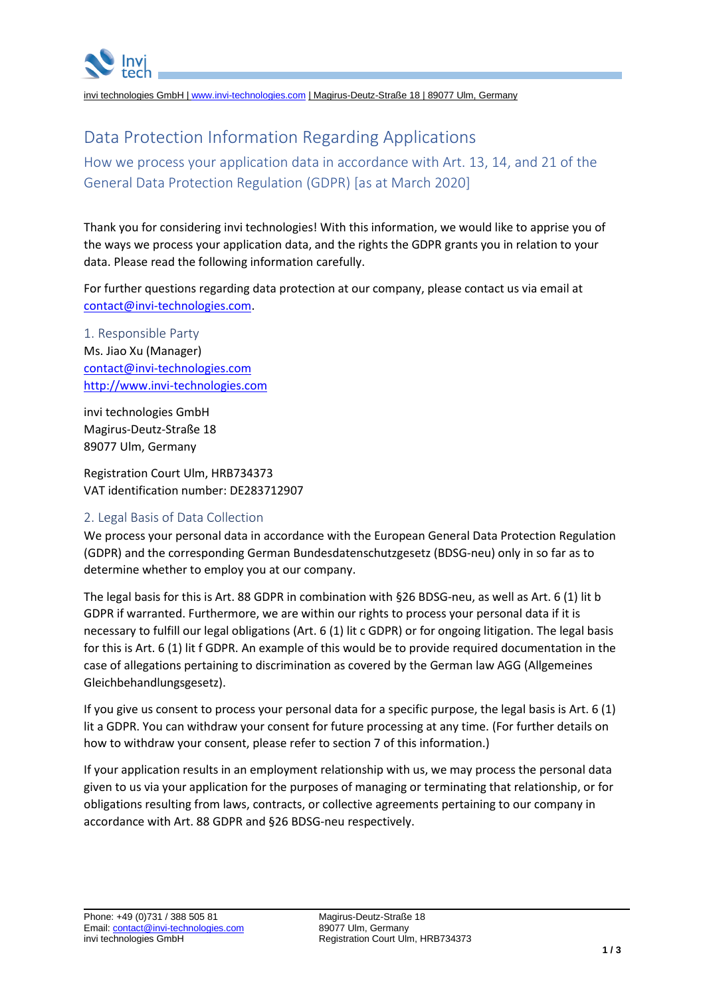

invi technologies GmbH | [www.invi-technologies.com](http://www.invi-technologies.com/) | Magirus-Deutz-Straße 18 | 89077 Ulm, Germany

# Data Protection Information Regarding Applications

How we process your application data in accordance with Art. 13, 14, and 21 of the General Data Protection Regulation (GDPR) [as at March 2020]

Thank you for considering invi technologies! With this information, we would like to apprise you of the ways we process your application data, and the rights the GDPR grants you in relation to your data. Please read the following information carefully.

For further questions regarding data protection at our company, please contact us via email at [contact@invi-technologies.com.](mailto:contact@invi-technologies.com)

1. Responsible Party Ms. Jiao Xu (Manager) [contact@invi-technologies.com](mailto:contact@invi-technologies.com) [http://www.invi-technologies.com](http://www.invi-technologies.de/)

invi technologies GmbH Magirus-Deutz-Straße 18 89077 Ulm, Germany

Registration Court Ulm, HRB734373 VAT identification number: DE283712907

## 2. Legal Basis of Data Collection

We process your personal data in accordance with the European General Data Protection Regulation (GDPR) and the corresponding German Bundesdatenschutzgesetz (BDSG-neu) only in so far as to determine whether to employ you at our company.

The legal basis for this is Art. 88 GDPR in combination with §26 BDSG-neu, as well as Art. 6 (1) lit b GDPR if warranted. Furthermore, we are within our rights to process your personal data if it is necessary to fulfill our legal obligations (Art. 6 (1) lit c GDPR) or for ongoing litigation. The legal basis for this is Art. 6 (1) lit f GDPR. An example of this would be to provide required documentation in the case of allegations pertaining to discrimination as covered by the German law AGG (Allgemeines Gleichbehandlungsgesetz).

If you give us consent to process your personal data for a specific purpose, the legal basis is Art. 6 (1) lit a GDPR. You can withdraw your consent for future processing at any time. (For further details on how to withdraw your consent, please refer to section 7 of this information.)

If your application results in an employment relationship with us, we may process the personal data given to us via your application for the purposes of managing or terminating that relationship, or for obligations resulting from laws, contracts, or collective agreements pertaining to our company in accordance with Art. 88 GDPR and §26 BDSG-neu respectively.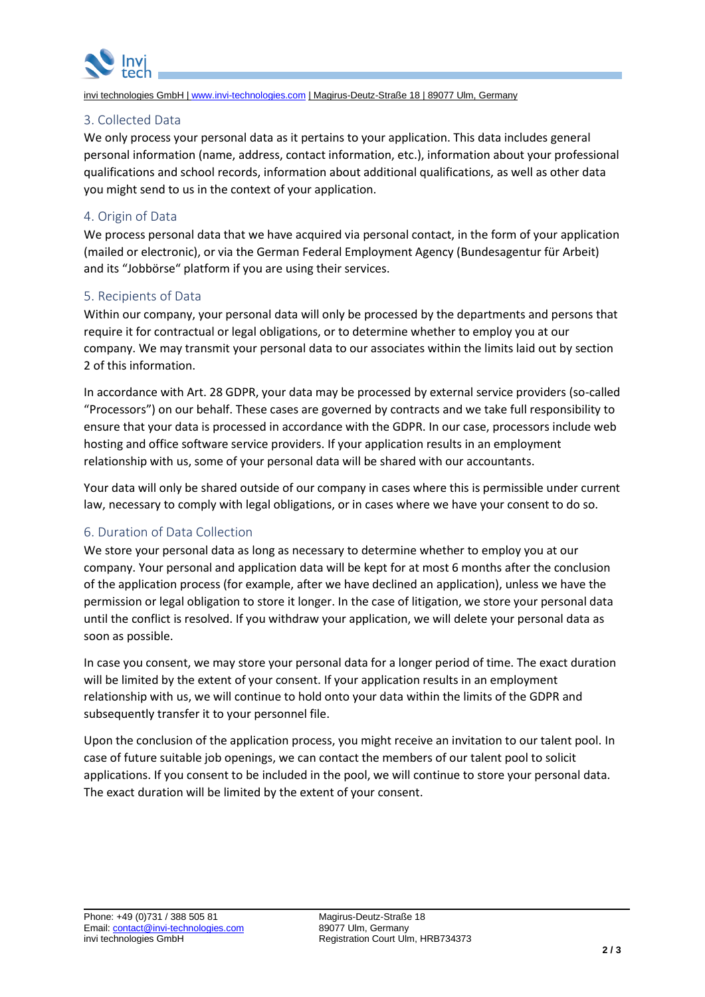

invi technologies GmbH | [www.invi-technologies.com](http://www.invi-technologies.com/) | Magirus-Deutz-Straße 18 | 89077 Ulm, Germany

## 3. Collected Data

We only process your personal data as it pertains to your application. This data includes general personal information (name, address, contact information, etc.), information about your professional qualifications and school records, information about additional qualifications, as well as other data you might send to us in the context of your application.

# 4. Origin of Data

We process personal data that we have acquired via personal contact, in the form of your application (mailed or electronic), or via the German Federal Employment Agency (Bundesagentur für Arbeit) and its "Jobbörse" platform if you are using their services.

# 5. Recipients of Data

Within our company, your personal data will only be processed by the departments and persons that require it for contractual or legal obligations, or to determine whether to employ you at our company. We may transmit your personal data to our associates within the limits laid out by section 2 of this information.

In accordance with Art. 28 GDPR, your data may be processed by external service providers (so-called "Processors") on our behalf. These cases are governed by contracts and we take full responsibility to ensure that your data is processed in accordance with the GDPR. In our case, processors include web hosting and office software service providers. If your application results in an employment relationship with us, some of your personal data will be shared with our accountants.

Your data will only be shared outside of our company in cases where this is permissible under current law, necessary to comply with legal obligations, or in cases where we have your consent to do so.

# 6. Duration of Data Collection

We store your personal data as long as necessary to determine whether to employ you at our company. Your personal and application data will be kept for at most 6 months after the conclusion of the application process (for example, after we have declined an application), unless we have the permission or legal obligation to store it longer. In the case of litigation, we store your personal data until the conflict is resolved. If you withdraw your application, we will delete your personal data as soon as possible.

In case you consent, we may store your personal data for a longer period of time. The exact duration will be limited by the extent of your consent. If your application results in an employment relationship with us, we will continue to hold onto your data within the limits of the GDPR and subsequently transfer it to your personnel file.

Upon the conclusion of the application process, you might receive an invitation to our talent pool. In case of future suitable job openings, we can contact the members of our talent pool to solicit applications. If you consent to be included in the pool, we will continue to store your personal data. The exact duration will be limited by the extent of your consent.